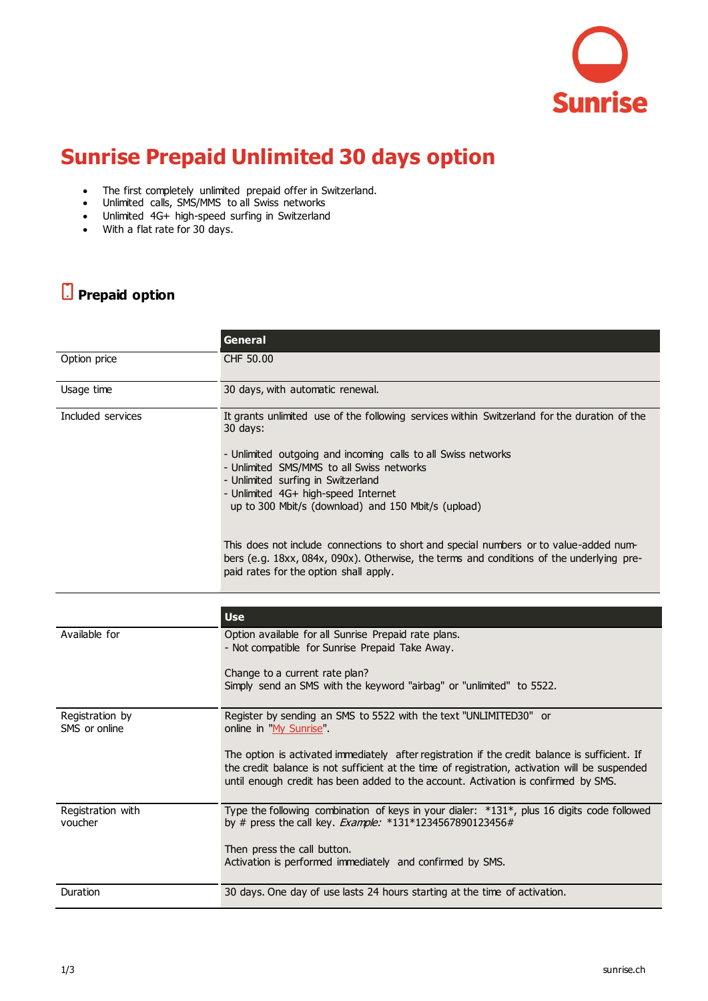

## **Sunrise Prepaid Unlimited 30 days option**

- The first completely unlimited prepaid offer in Switzerland.
- Unlimited calls, SMS/MMS to all Swiss networks
- Unlimited 4G+ high-speed surfing in Switzerland
- With a flat rate for 30 days.

## **Prepaid option**

|                                  | <b>General</b>                                                                                                                                                                                                                                                                                                                                                                                                                                      |
|----------------------------------|-----------------------------------------------------------------------------------------------------------------------------------------------------------------------------------------------------------------------------------------------------------------------------------------------------------------------------------------------------------------------------------------------------------------------------------------------------|
| Option price                     | CHF 50.00                                                                                                                                                                                                                                                                                                                                                                                                                                           |
| Usage time                       | 30 days, with automatic renewal.                                                                                                                                                                                                                                                                                                                                                                                                                    |
| Included services                | It grants unlimited use of the following services within Switzerland for the duration of the<br>30 days:<br>- Unlimited outgoing and incoming calls to all Swiss networks<br>- Unlimited SMS/MMS to all Swiss networks<br>- Unlimited surfing in Switzerland<br>- Unlimited 4G+ high-speed Internet<br>up to 300 Mbit/s (download) and 150 Mbit/s (upload)<br>This does not include connections to short and special numbers or to value-added num- |
|                                  | bers (e.g. 18xx, 084x, 090x). Otherwise, the terms and conditions of the underlying pre-<br>paid rates for the option shall apply.<br><b>Use</b>                                                                                                                                                                                                                                                                                                    |
| Available for                    | Option available for all Sunrise Prepaid rate plans.                                                                                                                                                                                                                                                                                                                                                                                                |
|                                  | - Not compatible for Sunrise Prepaid Take Away.<br>Change to a current rate plan?<br>Simply send an SMS with the keyword "airbag" or "unlimited" to 5522.                                                                                                                                                                                                                                                                                           |
| Registration by<br>SMS or online | Register by sending an SMS to 5522 with the text "UNLIMITED30" or<br>online in 'My Sunrise".                                                                                                                                                                                                                                                                                                                                                        |
|                                  | The option is activated immediately after registration if the credit balance is sufficient. If<br>the credit balance is not sufficient at the time of registration, activation will be suspended<br>until enough credit has been added to the account. Activation is confirmed by SMS.                                                                                                                                                              |
| Registration with<br>voucher     | Type the following combination of keys in your dialer: *131*, plus 16 digits code followed<br>by # press the call key. Example: *131*1234567890123456#                                                                                                                                                                                                                                                                                              |
|                                  | Then press the call button.<br>Activation is performed immediately and confirmed by SMS.                                                                                                                                                                                                                                                                                                                                                            |
| Duration                         | 30 days. One day of use lasts 24 hours starting at the time of activation.                                                                                                                                                                                                                                                                                                                                                                          |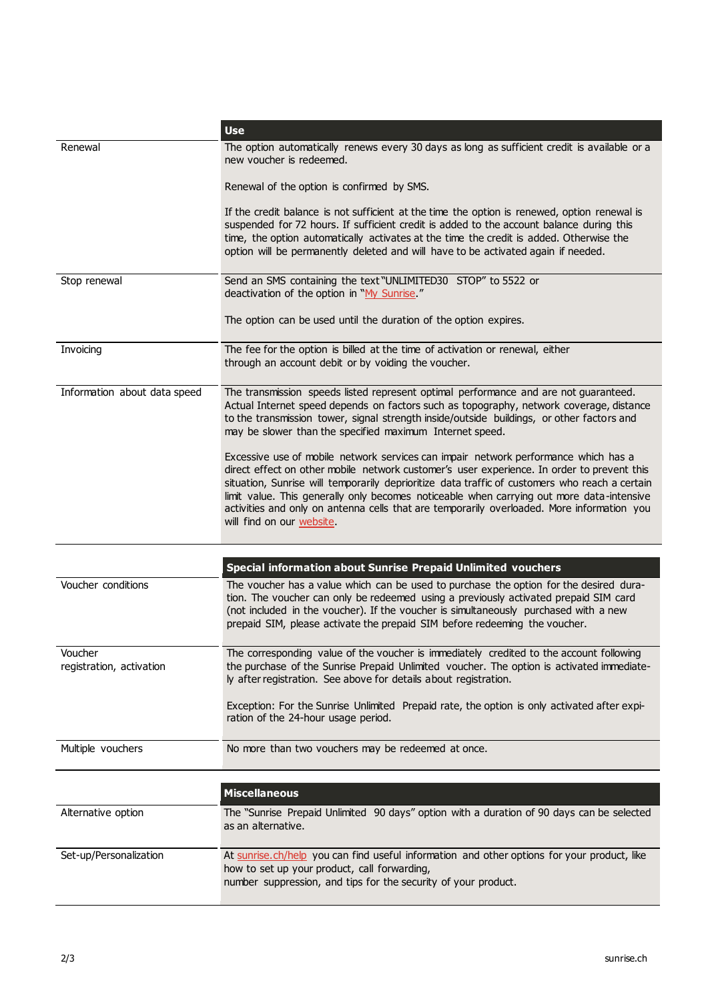|                                     | <b>Use</b>                                                                                                                                                                                                                                                                                                                                                                                                                                                                                                  |
|-------------------------------------|-------------------------------------------------------------------------------------------------------------------------------------------------------------------------------------------------------------------------------------------------------------------------------------------------------------------------------------------------------------------------------------------------------------------------------------------------------------------------------------------------------------|
| Renewal                             | The option automatically renews every 30 days as long as sufficient credit is available or a<br>new voucher is redeemed.                                                                                                                                                                                                                                                                                                                                                                                    |
|                                     | Renewal of the option is confirmed by SMS.                                                                                                                                                                                                                                                                                                                                                                                                                                                                  |
|                                     | If the credit balance is not sufficient at the time the option is renewed, option renewal is<br>suspended for 72 hours. If sufficient credit is added to the account balance during this<br>time, the option automatically activates at the time the credit is added. Otherwise the<br>option will be permanently deleted and will have to be activated again if needed.                                                                                                                                    |
| Stop renewal                        | Send an SMS containing the text "UNLIMITED30 STOP" to 5522 or<br>deactivation of the option in "My Sunrise."                                                                                                                                                                                                                                                                                                                                                                                                |
|                                     | The option can be used until the duration of the option expires.                                                                                                                                                                                                                                                                                                                                                                                                                                            |
| Invoicing                           | The fee for the option is billed at the time of activation or renewal, either<br>through an account debit or by voiding the voucher.                                                                                                                                                                                                                                                                                                                                                                        |
| Information about data speed        | The transmission speeds listed represent optimal performance and are not guaranteed.<br>Actual Internet speed depends on factors such as topography, network coverage, distance<br>to the transmission tower, signal strength inside/outside buildings, or other factors and<br>may be slower than the specified maximum Internet speed.                                                                                                                                                                    |
|                                     | Excessive use of mobile network services can impair network performance which has a<br>direct effect on other mobile network customer's user experience. In order to prevent this<br>situation, Sunrise will temporarily deprioritize data traffic of customers who reach a certain<br>limit value. This generally only becomes noticeable when carrying out more data-intensive<br>activities and only on antenna cells that are temporarily overloaded. More information you<br>will find on our website. |
|                                     | <b>Special information about Sunrise Prepaid Unlimited vouchers</b>                                                                                                                                                                                                                                                                                                                                                                                                                                         |
| Voucher conditions                  | The voucher has a value which can be used to purchase the option for the desired dura-<br>tion. The voucher can only be redeemed using a previously activated prepaid SIM card<br>(not included in the voucher). If the voucher is simultaneously purchased with a new<br>prepaid SIM, please activate the prepaid SIM before redeeming the voucher.                                                                                                                                                        |
| Voucher<br>registration, activation | The corresponding value of the voucher is immediately credited to the account following<br>the purchase of the Sunrise Prepaid Unlimited voucher. The option is activated immediate-<br>ly after registration. See above for details about registration.                                                                                                                                                                                                                                                    |
|                                     | Exception: For the Sunrise Unlimited Prepaid rate, the option is only activated after expi-<br>ration of the 24-hour usage period.                                                                                                                                                                                                                                                                                                                                                                          |
| Multiple vouchers                   | No more than two vouchers may be redeemed at once.                                                                                                                                                                                                                                                                                                                                                                                                                                                          |
|                                     | <b>Miscellaneous</b>                                                                                                                                                                                                                                                                                                                                                                                                                                                                                        |
| Alternative option                  | The "Sunrise Prepaid Unlimited 90 days" option with a duration of 90 days can be selected<br>as an alternative.                                                                                                                                                                                                                                                                                                                                                                                             |
| Set-up/Personalization              | At sunrise.ch/help you can find useful information and other options for your product, like<br>how to set up your product, call forwarding,<br>number suppression, and tips for the security of your product.                                                                                                                                                                                                                                                                                               |